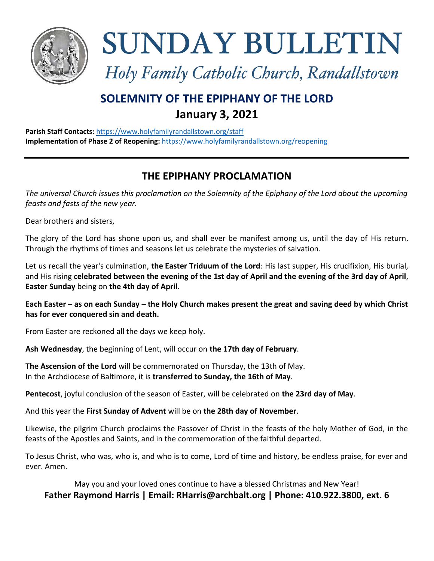

# SUNDAY BULLETIN

Holy Family Catholic Church, Randallstown

# **SOLEMNITY OF THE EPIPHANY OF THE LORD January 3, 2021**

**Parish Staff Contacts:** <https://www.holyfamilyrandallstown.org/staff> **Implementation of Phase 2 of Reopening:** <https://www.holyfamilyrandallstown.org/reopening>

# **THE EPIPHANY PROCLAMATION**

*The universal Church issues this proclamation on the Solemnity of the Epiphany of the Lord about the upcoming feasts and fasts of the new year.*

Dear brothers and sisters,

The glory of the Lord has shone upon us, and shall ever be manifest among us, until the day of His return. Through the rhythms of times and seasons let us celebrate the mysteries of salvation.

Let us recall the year's culmination, **the Easter Triduum of the Lord**: His last supper, His crucifixion, His burial, and His rising **celebrated between the evening of the 1st day of April and the evening of the 3rd day of April**, **Easter Sunday** being on **the 4th day of April**.

**Each Easter – as on each Sunday – the Holy Church makes present the great and saving deed by which Christ has for ever conquered sin and death.**

From Easter are reckoned all the days we keep holy.

**Ash Wednesday**, the beginning of Lent, will occur on **the 17th day of February**.

**The Ascension of the Lord** will be commemorated on Thursday, the 13th of May. In the Archdiocese of Baltimore, it is **transferred to Sunday, the 16th of May**.

**Pentecost**, joyful conclusion of the season of Easter, will be celebrated on **the 23rd day of May**.

And this year the **First Sunday of Advent** will be on **the 28th day of November**.

Likewise, the pilgrim Church proclaims the Passover of Christ in the feasts of the holy Mother of God, in the feasts of the Apostles and Saints, and in the commemoration of the faithful departed.

To Jesus Christ, who was, who is, and who is to come, Lord of time and history, be endless praise, for ever and ever. Amen.

May you and your loved ones continue to have a blessed Christmas and New Year! **Father Raymond Harris | Email: RHarris@archbalt.org | Phone: 410.922.3800, ext. 6**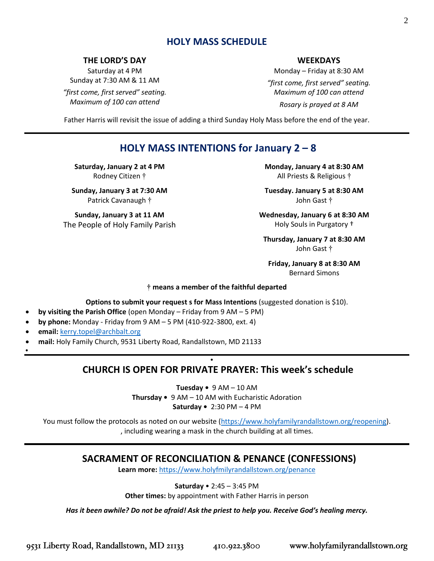# **HOLY MASS SCHEDULE**

## **THE LORD'S DAY**

Saturday at 4 PM Sunday at 7:30 AM & 11 AM

*"first come, first served" seating. Maximum of 100 can attend*

#### **WEEKDAYS**

Monday – Friday at 8:30 AM *"first come, first served" seating. Maximum of 100 can attend Rosary is prayed at 8 AM*

Father Harris will revisit the issue of adding a third Sunday Holy Mass before the end of the year.

# **HOLY MASS INTENTIONS for January 2 – 8**

**Saturday, January 2 at 4 PM** Rodney Citizen †

**Sunday, January 3 at 7:30 AM** Patrick Cavanaugh †

**Sunday, January 3 at 11 AM** The People of Holy Family Parish **Monday, January 4 at 8:30 AM** All Priests & Religious †

**Tuesday. January 5 at 8:30 AM** John Gast †

**Wednesday, January 6 at 8:30 AM**  Holy Souls in Purgatory †

**Thursday, January 7 at 8:30 AM** John Gast †

**Friday, January 8 at 8:30 AM** Bernard Simons

#### **† means a member of the faithful departed**

#### **Options to submit your request s for Mass Intentions** (suggested donation is \$10).

- **by visiting the Parish Office** (open Monday Friday from 9 AM 5 PM)
- **by phone:** Monday Friday from 9 AM 5 PM (410-922-3800, ext. 4)
- **email:** [kerry.topel@archbalt.org](mailto:kerry.topel@archbalt.org)
- **mail:** Holy Family Church, 9531 Liberty Road, Randallstown, MD 21133
- •

# **CHURCH IS OPEN FOR PRIVATE PRAYER: This week's schedule**

•

**Tuesday •** 9 AM – 10 AM

**Thursday •** 9 AM – 10 AM with Eucharistic Adoration

**Saturday •** 2:30 PM – 4 PM

You must follow the protocols as noted on our website [\(https://www.holyfamilyrandallstown.org/reopening\)](https://www.holyfamilyrandallstown.org/reopening). , including wearing a mask in the church building at all times.

# **SACRAMENT OF RECONCILIATION & PENANCE (CONFESSIONS)**

**Learn more:** <https://www.holyfmilyrandallstown.org/penance>

**Saturday** • 2:45 – 3:45 PM

**Other times:** by appointment with Father Harris in person

*Has it been awhile? Do not be afraid! Ask the priest to help you. Receive God's healing mercy.*

2

9531 Liberty Road, Randallstown, MD 21133 410.922.3800 www.holyfamilyrandallstown.org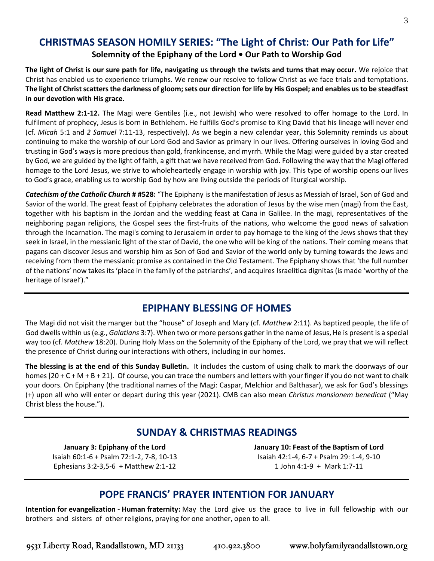# **CHRISTMAS SEASON HOMILY SERIES: "The Light of Christ: Our Path for Life" Solemnity of the Epiphany of the Lord • Our Path to Worship God**

**The light of Christ is our sure path for life, navigating us through the twists and turns that may occur.** We rejoice that Christ has enabled us to experience triumphs. We renew our resolve to follow Christ as we face trials and temptations. **The light of Christ scatters the darkness of gloom; sets our direction for life by His Gospel; and enables us to be steadfast in our devotion with His grace.**

**Read Matthew 2:1-12.** The Magi were Gentiles (i.e., not Jewish) who were resolved to offer homage to the Lord. In fulfilment of prophecy, Jesus is born in Bethlehem. He fulfills God's promise to King David that his lineage will never end (cf. *Micah* 5:1 and *2 Samuel* 7:11-13, respectively). As we begin a new calendar year, this Solemnity reminds us about continuing to make the worship of our Lord God and Savior as primary in our lives. Offering ourselves in loving God and trusting in God's ways is more precious than gold, frankincense, and myrrh. While the Magi were guided by a star created by God, we are guided by the light of faith, a gift that we have received from God. Following the way that the Magi offered homage to the Lord Jesus, we strive to wholeheartedly engage in worship with joy. This type of worship opens our lives to God's grace, enabling us to worship God by how are living outside the periods of liturgical worship.

*Catechism of the Catholic Church* **# #528:** "The Epiphany is the manifestation of Jesus as Messiah of Israel, Son of God and Savior of the world. The great feast of Epiphany celebrates the adoration of Jesus by the wise men (magi) from the East, together with his baptism in the Jordan and the wedding feast at Cana in Galilee. In the magi, representatives of the neighboring pagan religions, the Gospel sees the first-fruits of the nations, who welcome the good news of salvation through the Incarnation. The magi's coming to Jerusalem in order to pay homage to the king of the Jews shows that they seek in Israel, in the messianic light of the star of David, the one who will be king of the nations. Their coming means that pagans can discover Jesus and worship him as Son of God and Savior of the world only by turning towards the Jews and receiving from them the messianic promise as contained in the Old Testament. The Epiphany shows that 'the full number of the nations' now takes its 'place in the family of the patriarchs', and acquires Israelitica dignitas (is made 'worthy of the heritage of Israel')."

# **EPIPHANY BLESSING OF HOMES**

The Magi did not visit the manger but the "house" of Joseph and Mary (cf. *Matthew* 2:11). As baptized people, the life of God dwells within us (e.g., *Galatians* 3:7). When two or more persons gather in the name of Jesus, He is present is a special way too (cf. *Matthew* 18:20). During Holy Mass on the Solemnity of the Epiphany of the Lord, we pray that we will reflect the presence of Christ during our interactions with others, including in our homes.

**The blessing is at the end of this Sunday Bulletin.** It includes the custom of using chalk to mark the doorways of our homes  $[20 + C + M + B + 21]$ . Of course, you can trace the numbers and letters with your finger if you do not want to chalk your doors. On Epiphany (the traditional names of the Magi: Caspar, Melchior and Balthasar), we ask for God's blessings (+) upon all who will enter or depart during this year (2021). CMB can also mean *Christus mansionem benedicat* ("May Christ bless the house.").

# **SUNDAY & CHRISTMAS READINGS**

**January 3: Epiphany of the Lord** Isaiah 60:1-6 + Psalm 72:1-2, 7-8, 10-13 Ephesians 3:2-3,5-6 + Matthew 2:1-12

**January 10: Feast of the Baptism of Lord** Isaiah 42:1-4, 6-7 + Psalm 29: 1-4, 9-10 1 John 4:1-9 + Mark 1:7-11

# **POPE FRANCIS' PRAYER INTENTION FOR JANUARY**

**Intention for evangelization ‐ Human fraternity:** May the Lord give us the grace to live in full fellowship with our brothers and sisters of other religions, praying for one another, open to all.

www.holyfamilyrandallstown.org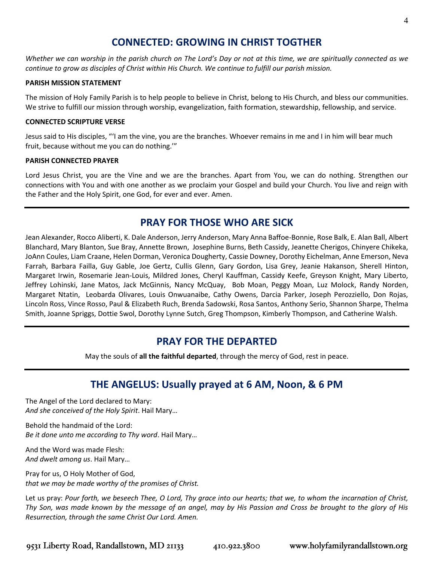# **CONNECTED: GROWING IN CHRIST TOGTHER**

Whether we can worship in the parish church on The Lord's Day or not at this time, we are spiritually connected as we *continue to grow as disciples of Christ within His Church. We continue to fulfill our parish mission.*

#### **PARISH MISSION STATEMENT**

The mission of Holy Family Parish is to help people to believe in Christ, belong to His Church, and bless our communities. We strive to fulfill our mission through worship, evangelization, faith formation, stewardship, fellowship, and service.

#### **CONNECTED SCRIPTURE VERSE**

Jesus said to His disciples, "'I am the vine, you are the branches. Whoever remains in me and I in him will bear much fruit, because without me you can do nothing.'"

#### **PARISH CONNECTED PRAYER**

Lord Jesus Christ, you are the Vine and we are the branches. Apart from You, we can do nothing. Strengthen our connections with You and with one another as we proclaim your Gospel and build your Church. You live and reign with the Father and the Holy Spirit, one God, for ever and ever. Amen.

# **PRAY FOR THOSE WHO ARE SICK**

Jean Alexander, Rocco Aliberti, K. Dale Anderson, Jerry Anderson, Mary Anna Baffoe-Bonnie, Rose Balk, E. Alan Ball, Albert Blanchard, Mary Blanton, Sue Bray, Annette Brown, Josephine Burns, Beth Cassidy, Jeanette Cherigos, Chinyere Chikeka, JoAnn Coules, Liam Craane, Helen Dorman, Veronica Dougherty, Cassie Downey, Dorothy Eichelman, Anne Emerson, Neva Farrah, Barbara Failla, Guy Gable, Joe Gertz, Cullis Glenn, Gary Gordon, Lisa Grey, Jeanie Hakanson, Sherell Hinton, Margaret Irwin, Rosemarie Jean-Louis, Mildred Jones, Cheryl Kauffman, Cassidy Keefe, Greyson Knight, Mary Liberto, Jeffrey Lohinski, Jane Matos, Jack McGinnis, Nancy McQuay, Bob Moan, Peggy Moan, Luz Molock, Randy Norden, Margaret Ntatin, Leobarda Olivares, Louis Onwuanaibe, Cathy Owens, Darcia Parker, Joseph Perozziello, Don Rojas, Lincoln Ross, Vince Rosso, Paul & Elizabeth Ruch, Brenda Sadowski, Rosa Santos, Anthony Serio, Shannon Sharpe, Thelma Smith, Joanne Spriggs, Dottie Swol, Dorothy Lynne Sutch, Greg Thompson, Kimberly Thompson, and Catherine Walsh.

# **PRAY FOR THE DEPARTED**

May the souls of **all the faithful departed**, through the mercy of God, rest in peace.

# **THE ANGELUS: Usually prayed at 6 AM, Noon, & 6 PM**

The Angel of the Lord declared to Mary: *And she conceived of the Holy Spirit*. Hail Mary…

Behold the handmaid of the Lord: *Be it done unto me according to Thy word*. Hail Mary…

And the Word was made Flesh: *And dwelt among us*. Hail Mary…

Pray for us, O Holy Mother of God, *that we may be made worthy of the promises of Christ.*

Let us pray: *Pour forth, we beseech Thee, O Lord, Thy grace into our hearts; that we, to whom the incarnation of Christ, Thy Son, was made known by the message of an angel, may by His Passion and Cross be brought to the glory of His Resurrection, through the same Christ Our Lord. Amen.*

9531 Liberty Road, Randallstown, MD 21133 410.922.3800

www.holyfamilyrandallstown.org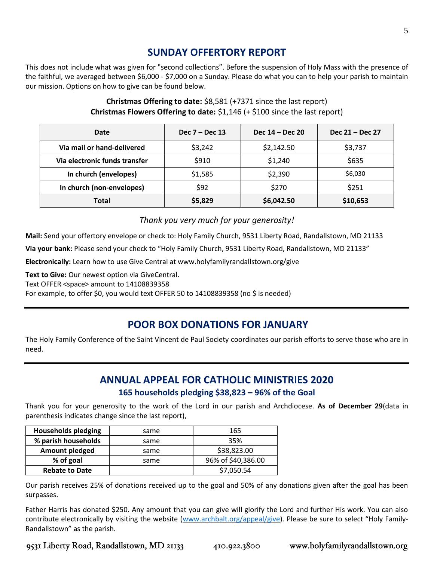# **SUNDAY OFFERTORY REPORT**

This does not include what was given for "second collections". Before the suspension of Holy Mass with the presence of the faithful, we averaged between \$6,000 - \$7,000 on a Sunday. Please do what you can to help your parish to maintain our mission. Options on how to give can be found below.

| Date                          | Dec $7 - Dec 13$ | Dec 14 – Dec 20 | Dec 21 – Dec 27 |
|-------------------------------|------------------|-----------------|-----------------|
| Via mail or hand-delivered    | \$3,242          | \$2,142.50      | \$3,737         |
| Via electronic funds transfer | \$910            | \$1,240         | \$635           |
| In church (envelopes)         | \$1,585          | \$2,390         | \$6,030         |
| In church (non-envelopes)     | \$92             | \$270           | \$251           |
| Total                         | \$5,829          | \$6,042.50      | \$10,653        |

# **Christmas Offering to date:** \$8,581 (+7371 since the last report) **Christmas Flowers Offering to date:** \$1,146 (+ \$100 since the last report)

*Thank you very much for your generosity!* 

**Mail:** Send your offertory envelope or check to: Holy Family Church, 9531 Liberty Road, Randallstown, MD 21133

**Via your bank:** Please send your check to "Holy Family Church, 9531 Liberty Road, Randallstown, MD 21133"

**Electronically:** Learn how to use Give Central at www.holyfamilyrandallstown.org/give

**Text to Give:** Our newest option via GiveCentral.

Text OFFER <space> amount to 14108839358

For example, to offer \$0, you would text OFFER 50 to 14108839358 (no \$ is needed)

# **POOR BOX DONATIONS FOR JANUARY**

The Holy Family Conference of the Saint Vincent de Paul Society coordinates our parish efforts to serve those who are in need.

# **ANNUAL APPEAL FOR CATHOLIC MINISTRIES 2020 165 households pledging \$38,823 – 96% of the Goal**

Thank you for your generosity to the work of the Lord in our parish and Archdiocese. **As of December 29**(data in parenthesis indicates change since the last report),

| <b>Households pledging</b> | same | 165                |
|----------------------------|------|--------------------|
| % parish households        | same | 35%                |
| Amount pledged             | same | \$38,823.00        |
| % of goal                  | same | 96% of \$40,386.00 |
| <b>Rebate to Date</b>      |      | \$7,050.54         |

Our parish receives 25% of donations received up to the goal and 50% of any donations given after the goal has been surpasses.

Father Harris has donated \$250. Any amount that you can give will glorify the Lord and further His work. You can also contribute electronically by visiting the website [\(www.archbalt.org/appeal/give](http://www.archbalt.org/appeal/give)). Please be sure to select "Holy Family-Randallstown" as the parish.

9531 Liberty Road, Randallstown, MD 21133

410.922.3800

www.holyfamilyrandallstown.org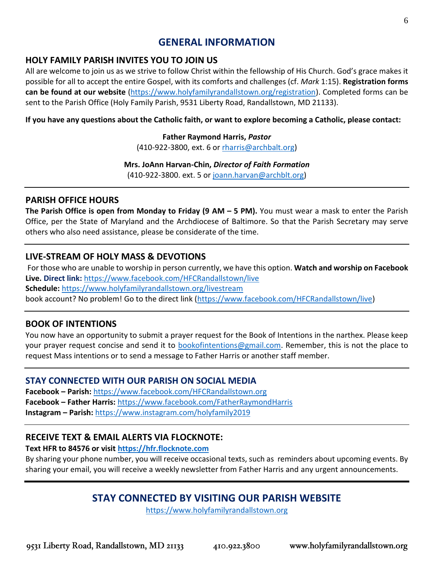# **GENERAL INFORMATION**

## **HOLY FAMILY PARISH INVITES YOU TO JOIN US**

All are welcome to join us as we strive to follow Christ within the fellowship of His Church. God's grace makes it possible for all to accept the entire Gospel, with its comforts and challenges (cf. *Mark* 1:15). **Registration forms can be found at our website** [\(https://www.holyfamilyrandallstown.org/registration\)](https://www.holyfamilyrandallstown.org/registration). Completed forms can be sent to the Parish Office (Holy Family Parish, 9531 Liberty Road, Randallstown, MD 21133).

## **If you have any questions about the Catholic faith, or want to explore becoming a Catholic, please contact:**

## **Father Raymond Harris,** *Pastor*

(410-922-3800, ext. 6 or [rharris@archbalt.org\)](mailto:rharris@archbalt.org)

## **Mrs. JoAnn Harvan-Chin,** *Director of Faith Formation*

(410-922-3800. ext. 5 or [joann.harvan@archblt.org\)](mailto:joann.harvan@archblt.org)

## **PARISH OFFICE HOURS**

**The Parish Office is open from Monday to Friday (9 AM – 5 PM).** You must wear a mask to enter the Parish Office, per the State of Maryland and the Archdiocese of Baltimore. So that the Parish Secretary may serve others who also need assistance, please be considerate of the time.

# **LIVE-STREAM OF HOLY MASS & DEVOTIONS**

For those who are unable to worship in person currently, we have this option. **Watch and worship on Facebook Live. Direct link:** <https://www.facebook.com/HFCRandallstown/live> **Schedule:** <https://www.holyfamilyrandallstown.org/livestream> book account? No problem! Go to the direct link [\(https://www.facebook.com/HFCRandallstown/live\)](https://www.facebook.com/HFCRandallstown/live)

# **BOOK OF INTENTIONS**

You now have an opportunity to submit a prayer request for the Book of Intentions in the narthex. Please keep your prayer request concise and send it to [bookofintentions@gmail.com.](mailto:bookofintentions@gmail.com) Remember, this is not the place to request Mass intentions or to send a message to Father Harris or another staff member.

## **STAY CONNECTED WITH OUR PARISH ON SOCIAL MEDIA**

**Facebook – Parish:** <https://www.facebook.com/HFCRandallstown.org> **Facebook – Father Harris:** <https://www.facebook.com/FatherRaymondHarris> **Instagram – Parish:** <https://www.instagram.com/holyfamily2019>

# **RECEIVE TEXT & EMAIL ALERTS VIA FLOCKNOTE:**

## **Text HFR to 84576 or visit [https://hfr.flocknote.com](https://hfr.flocknote.com/)**

By sharing your phone number, you will receive occasional texts, such as reminders about upcoming events. By sharing your email, you will receive a weekly newsletter from Father Harris and any urgent announcements.

# **STAY CONNECTED BY VISITING OUR PARISH WEBSITE**

[https://www.holyfamilyrandallstown.org](https://www.holyfamilyrandallstown.org/)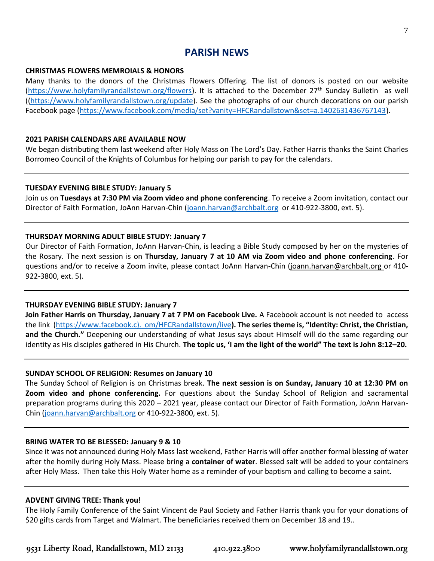# **PARISH NEWS**

#### **CHRISTMAS FLOWERS MEMROIALS & HONORS**

Many thanks to the donors of the Christmas Flowers Offering. The list of donors is posted on our website [\(https://www.holyfamilyrandallstown.org/flowers\)](https://www.holyfamilyrandallstown.org/flowers). It is attached to the December 27<sup>th</sup> Sunday Bulletin as well ([\(https://www.holyfamilyrandallstown.org/update\)](https://www.holyfamilyrandallstown.org/update). See the photographs of our church decorations on our parish Facebook page [\(https://www.facebook.com/media/set?vanity=HFCRandallstown&set=a.1402631436767143\)](https://www.facebook.com/media/set?vanity=HFCRandallstown&set=a.1402631436767143).

#### **2021 PARISH CALENDARS ARE AVAILABLE NOW**

We began distributing them last weekend after Holy Mass on The Lord's Day. Father Harris thanks the Saint Charles Borromeo Council of the Knights of Columbus for helping our parish to pay for the calendars.

#### **TUESDAY EVENING BIBLE STUDY: January 5**

Join us on **Tuesdays at 7:30 PM via Zoom video and phone conferencing**. To receive a Zoom invitation, contact our Director of Faith Formation, JoAnn Harvan-Chin [\(joann.harvan@archbalt.org](mailto:joann.harvan@archbalt.org) or 410-922-3800, ext. 5).

#### **THURSDAY MORNING ADULT BIBLE STUDY: January 7**

Our Director of Faith Formation, JoAnn Harvan-Chin, is leading a Bible Study composed by her on the mysteries of the Rosary. The next session is on **Thursday, January 7 at 10 AM via Zoom video and phone conferencing**. For questions and/or to receive a Zoom invite, please contact JoAnn Harvan-Chin [\(joann.harvan@archbalt.org](mailto:joann.harvan@archbalt.org) or 410- 922-3800, ext. 5).

#### **THURSDAY EVENING BIBLE STUDY: January 7**

**Join Father Harris on Thursday, January 7 at 7 PM on Facebook Live.** A Facebook account is not needed to access the link (https://www.facebook.c). om/HFCRandallstown/live**). The series theme is, "Identity: Christ, the Christian, and the Church."** Deepening our understanding of what Jesus says about Himself will do the same regarding our identity as His disciples gathered in His Church. **The topic us, 'I am the light of the world" The text is John 8:12–20.** 

#### **SUNDAY SCHOOL OF RELIGION: Resumes on January 10**

The Sunday School of Religion is on Christmas break. **The next session is on Sunday, January 10 at 12:30 PM on Zoom video and phone conferencing.** For questions about the Sunday School of Religion and sacramental preparation programs during this 2020 – 2021 year, please contact our Director of Faith Formation, JoAnn Harvan-Chin [\(joann.harvan@archbalt.org](mailto:joann.harvan@archbalt.org) or 410-922-3800, ext. 5).

#### **BRING WATER TO BE BLESSED: January 9 & 10**

Since it was not announced during Holy Mass last weekend, Father Harris will offer another formal blessing of water after the homily during Holy Mass. Please bring a **container of water**. Blessed salt will be added to your containers after Holy Mass. Then take this Holy Water home as a reminder of your baptism and calling to become a saint.

#### **ADVENT GIVING TREE: Thank you!**

The Holy Family Conference of the Saint Vincent de Paul Society and Father Harris thank you for your donations of \$20 gifts cards from Target and Walmart. The beneficiaries received them on December 18 and 19..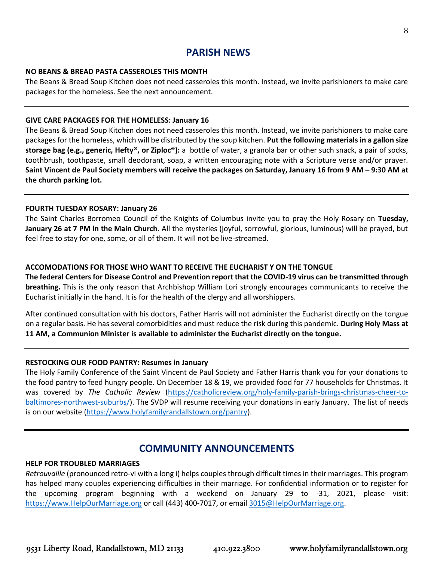# **PARISH NEWS**

## **NO BEANS & BREAD PASTA CASSEROLES THIS MONTH**

The Beans & Bread Soup Kitchen does not need casseroles this month. Instead, we invite parishioners to make care packages for the homeless. See the next announcement.

## **GIVE CARE PACKAGES FOR THE HOMELESS: January 16**

The Beans & Bread Soup Kitchen does not need casseroles this month. Instead, we invite parishioners to make care packages for the homeless, which will be distributed by the soup kitchen. **Put the following materials in a gallon size storage bag (e.g., generic, Hefty®, or Ziploc®):** a bottle of water, a granola bar or other such snack, a pair of socks, toothbrush, toothpaste, small deodorant, soap, a written encouraging note with a Scripture verse and/or prayer. **Saint Vincent de Paul Society members will receive the packages on Saturday, January 16 from 9 AM – 9:30 AM at the church parking lot.** 

## **FOURTH TUESDAY ROSARY: January 26**

The Saint Charles Borromeo Council of the Knights of Columbus invite you to pray the Holy Rosary on **Tuesday, January 26 at 7 PM in the Main Church.** All the mysteries (joyful, sorrowful, glorious, luminous) will be prayed, but feel free to stay for one, some, or all of them. It will not be live-streamed.

## **ACCOMODATIONS FOR THOSE WHO WANT TO RECEIVE THE EUCHARIST Y ON THE TONGUE**

**The federal Centers for Disease Control and Prevention report that the COVID-19 virus can be transmitted through breathing.** This is the only reason that Archbishop William Lori strongly encourages communicants to receive the Eucharist initially in the hand. It is for the health of the clergy and all worshippers.

After continued consultation with his doctors, Father Harris will not administer the Eucharist directly on the tongue on a regular basis. He has several comorbidities and must reduce the risk during this pandemic. **During Holy Mass at 11 AM, a Communion Minister is available to administer the Eucharist directly on the tongue.**

## **RESTOCKING OUR FOOD PANTRY: Resumes in January**

The Holy Family Conference of the Saint Vincent de Paul Society and Father Harris thank you for your donations to the food pantry to feed hungry people. On December 18 & 19, we provided food for 77 households for Christmas. It was covered by *The Catholic Review* [\(https://catholicreview.org/holy-family-parish-brings-christmas-cheer-to](https://catholicreview.org/holy-family-parish-brings-christmas-cheer-to-baltimores-northwest-suburbs/)[baltimores-northwest-suburbs/\)](https://catholicreview.org/holy-family-parish-brings-christmas-cheer-to-baltimores-northwest-suburbs/). The SVDP will resume receiving your donations in early January. The list of needs is on our website [\(https://www.holyfamilyrandallstown.org/pantry\)](https://www.holyfamilyrandallstown.org/pantry).

# **COMMUNITY ANNOUNCEMENTS**

#### **HELP FOR TROUBLED MARRIAGES**

*Retrouvaille* (pronounced retro-vi with a long i) helps couples through difficult times in their marriages. This program has helped many couples experiencing difficulties in their marriage. For confidential information or to register for the upcoming program beginning with a weekend on January 29 to -31, 2021, please visit: [https://www.HelpOurMarriage.org](https://www.helpourmarriage.org/) or call (443) 400-7017, or email [3015@HelpOurMarriage.org.](mailto:3015@HelpOurMarriage.org)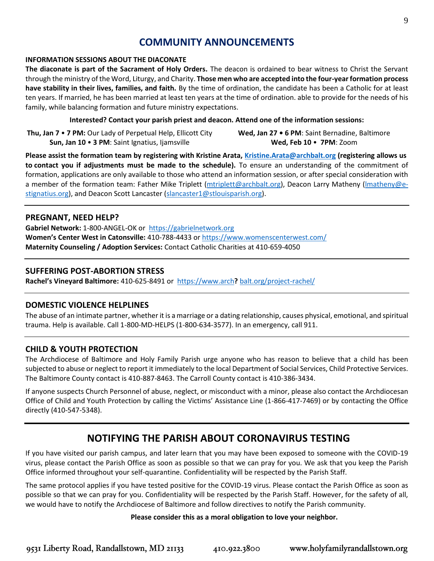# **COMMUNITY ANNOUNCEMENTS**

## **INFORMATION SESSIONS ABOUT THE DIACONATE**

**The diaconate is part of the Sacrament of Holy Orders.** The deacon is ordained to bear witness to Christ the Servant through the ministry of the Word, Liturgy, and Charity. **Those men who are accepted into the four-year formation process have stability in their lives, families, and faith.** By the time of ordination, the candidate has been a Catholic for at least ten years. If married, he has been married at least ten years at the time of ordination. able to provide for the needs of his family, while balancing formation and future ministry expectations.

## **Interested? Contact your parish priest and deacon. Attend one of the information sessions:**

**Thu, Jan 7** • **7 PM:** Our Lady of Perpetual Help, Ellicott City **Sun, Jan 10** • **3 PM**: Saint Ignatius, Ijamsville **Wed, Jan 27 • 6 PM**: Saint Bernadine, Baltimore **Wed, Feb 10** • **7PM**: Zoom

**Please assist the formation team by registering with Kristine Arata, [Kristine.Arata@archbalt.org](mailto:Kristine.Arata@archbalt.org) (registering allows us to contact you if adjustments must be made to the schedule).** To ensure an understanding of the commitment of formation, applications are only available to those who attend an information session, or after special consideration with a member of the formation team: Father Mike Triplett [\(mtriplett@archbalt.org\)](mailto:mtriplett@archbalt.org), Deacon Larry Matheny (Imatheny@e[stignatius.org\)](mailto:lmatheny@e-stignatius.org), and Deacon Scott Lancaster [\(slancaster1@stlouisparish.org\)](mailto:slancaster1@stlouisparish.org).

## **PREGNANT, NEED HELP?**

**Gabriel Network:** 1-800-ANGEL-OK or [https://gabrielnetwork.org](https://gabrielnetwork.org/) **Women's Center West in Catonsville:** 410-788-4433 or<https://www.womenscenterwest.com/> **Maternity Counseling / Adoption Services:** Contact Catholic Charities at 410-659-4050

## **SUFFERING POST-ABORTION STRESS**

**Rachel's Vineyard Baltimore:** 410-625-8491 or https://www.arch**?** [balt.org/project-rachel/](https://www.archbalt.org/project-rachel/)

## **DOMESTIC VIOLENCE HELPLINES**

The abuse of an intimate partner, whether it is a marriage or a dating relationship, causes physical, emotional, and spiritual trauma. Help is available. Call 1-800-MD-HELPS (1-800-634-3577). In an emergency, call 911.

## **CHILD & YOUTH PROTECTION**

The Archdiocese of Baltimore and Holy Family Parish urge anyone who has reason to believe that a child has been subjected to abuse or neglect to report it immediately to the local Department of Social Services, Child Protective Services. The Baltimore County contact is 410-887-8463. The Carroll County contact is 410-386-3434.

If anyone suspects Church Personnel of abuse, neglect, or misconduct with a minor, please also contact the Archdiocesan Office of Child and Youth Protection by calling the Victims' Assistance Line (1-866-417-7469) or by contacting the Office directly (410-547-5348).

# **NOTIFYING THE PARISH ABOUT CORONAVIRUS TESTING**

If you have visited our parish campus, and later learn that you may have been exposed to someone with the COVID-19 virus, please contact the Parish Office as soon as possible so that we can pray for you. We ask that you keep the Parish Office informed throughout your self-quarantine. Confidentiality will be respected by the Parish Staff.

The same protocol applies if you have tested positive for the COVID-19 virus. Please contact the Parish Office as soon as possible so that we can pray for you. Confidentiality will be respected by the Parish Staff. However, for the safety of all, we would have to notify the Archdiocese of Baltimore and follow directives to notify the Parish community.

#### **Please consider this as a moral obligation to love your neighbor.**

9531 Liberty Road, Randallstown, MD 21133 www.holyfamilyrandallstown.org 410.922.3800